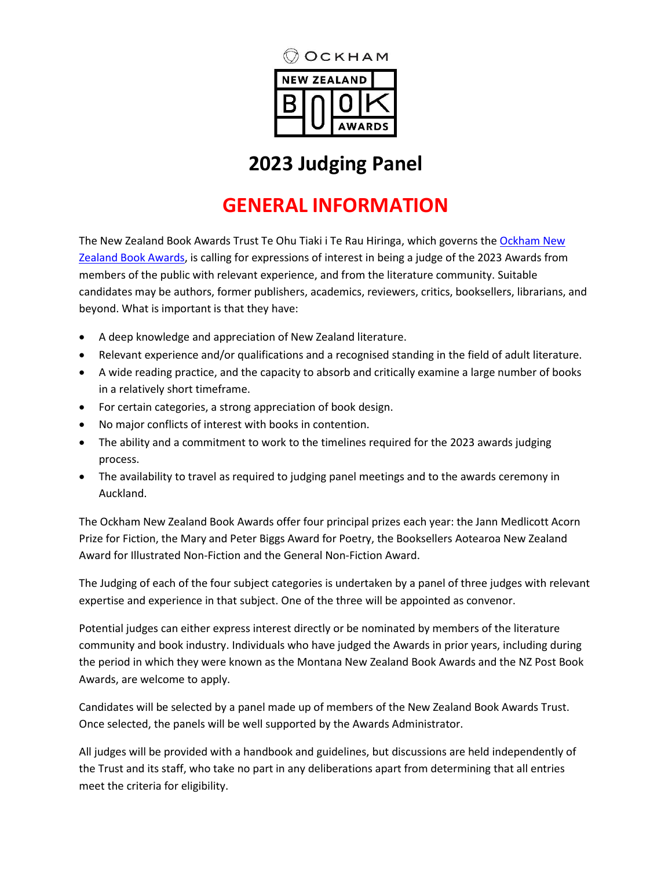

# **2023 Judging Panel**

# **GENERAL INFORMATION**

The New Zealand Book Awards Trust Te Ohu Tiaki i Te Rau Hiringa, which governs the Ockham New [Zealand Book Awards,](https://www.nzbookawards.nz/new-zealand-book-awards/) is calling for expressions of interest in being a judge of the 2023 Awards from members of the public with relevant experience, and from the literature community. Suitable candidates may be authors, former publishers, academics, reviewers, critics, booksellers, librarians, and beyond. What is important is that they have:

- A deep knowledge and appreciation of New Zealand literature.
- Relevant experience and/or qualifications and a recognised standing in the field of adult literature.
- A wide reading practice, and the capacity to absorb and critically examine a large number of books in a relatively short timeframe.
- For certain categories, a strong appreciation of book design.
- No major conflicts of interest with books in contention.
- The ability and a commitment to work to the timelines required for the 2023 awards judging process.
- The availability to travel as required to judging panel meetings and to the awards ceremony in Auckland.

The Ockham New Zealand Book Awards offer four principal prizes each year: the Jann Medlicott Acorn Prize for Fiction, the Mary and Peter Biggs Award for Poetry, the Booksellers Aotearoa New Zealand Award for Illustrated Non-Fiction and the General Non-Fiction Award.

The Judging of each of the four subject categories is undertaken by a panel of three judges with relevant expertise and experience in that subject. One of the three will be appointed as convenor.

Potential judges can either express interest directly or be nominated by members of the literature community and book industry. Individuals who have judged the Awards in prior years, including during the period in which they were known as the Montana New Zealand Book Awards and the NZ Post Book Awards, are welcome to apply.

Candidates will be selected by a panel made up of members of the New Zealand Book Awards Trust. Once selected, the panels will be well supported by the Awards Administrator.

All judges will be provided with a handbook and guidelines, but discussions are held independently of the Trust and its staff, who take no part in any deliberations apart from determining that all entries meet the criteria for eligibility.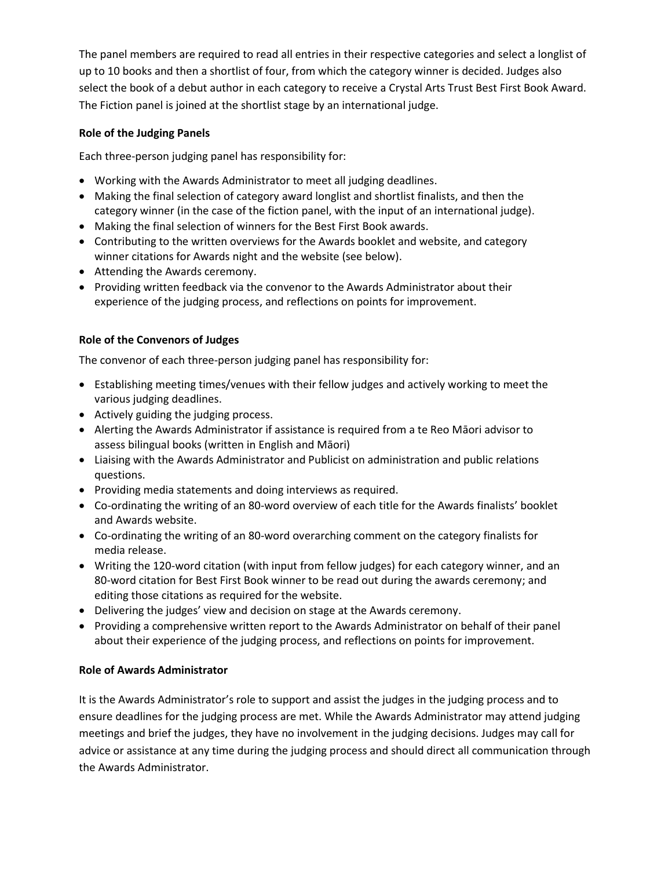The panel members are required to read all entries in their respective categories and select a longlist of up to 10 books and then a shortlist of four, from which the category winner is decided. Judges also select the book of a debut author in each category to receive a Crystal Arts Trust Best First Book Award. The Fiction panel is joined at the shortlist stage by an international judge.

### **Role of the Judging Panels**

Each three-person judging panel has responsibility for:

- Working with the Awards Administrator to meet all judging deadlines.
- Making the final selection of category award longlist and shortlist finalists, and then the category winner (in the case of the fiction panel, with the input of an international judge).
- Making the final selection of winners for the Best First Book awards.
- Contributing to the written overviews for the Awards booklet and website, and category winner citations for Awards night and the website (see below).
- Attending the Awards ceremony.
- Providing written feedback via the convenor to the Awards Administrator about their experience of the judging process, and reflections on points for improvement.

### **Role of the Convenors of Judges**

The convenor of each three-person judging panel has responsibility for:

- Establishing meeting times/venues with their fellow judges and actively working to meet the various judging deadlines.
- Actively guiding the judging process.
- Alerting the Awards Administrator if assistance is required from a te Reo Māori advisor to assess bilingual books (written in English and Māori)
- Liaising with the Awards Administrator and Publicist on administration and public relations questions.
- Providing media statements and doing interviews as required.
- Co-ordinating the writing of an 80-word overview of each title for the Awards finalists' booklet and Awards website.
- Co-ordinating the writing of an 80-word overarching comment on the category finalists for media release.
- Writing the 120-word citation (with input from fellow judges) for each category winner, and an 80-word citation for Best First Book winner to be read out during the awards ceremony; and editing those citations as required for the website.
- Delivering the judges' view and decision on stage at the Awards ceremony.
- Providing a comprehensive written report to the Awards Administrator on behalf of their panel about their experience of the judging process, and reflections on points for improvement.

#### **Role of Awards Administrator**

It is the Awards Administrator's role to support and assist the judges in the judging process and to ensure deadlines for the judging process are met. While the Awards Administrator may attend judging meetings and brief the judges, they have no involvement in the judging decisions. Judges may call for advice or assistance at any time during the judging process and should direct all communication through the Awards Administrator.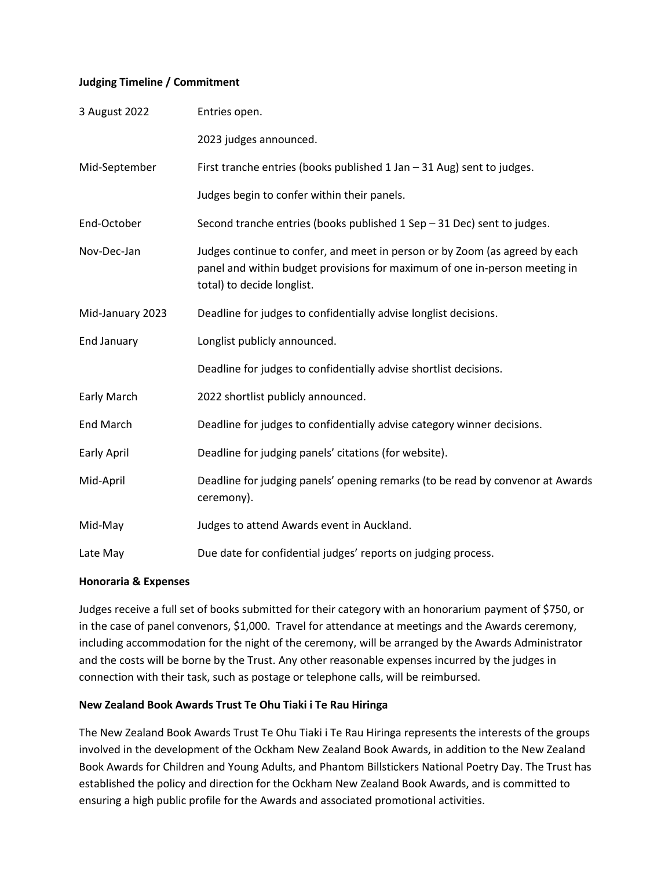#### **Judging Timeline / Commitment**

| 3 August 2022      | Entries open.                                                                                                                                                                           |
|--------------------|-----------------------------------------------------------------------------------------------------------------------------------------------------------------------------------------|
|                    | 2023 judges announced.                                                                                                                                                                  |
| Mid-September      | First tranche entries (books published 1 Jan - 31 Aug) sent to judges.                                                                                                                  |
|                    | Judges begin to confer within their panels.                                                                                                                                             |
| End-October        | Second tranche entries (books published 1 Sep - 31 Dec) sent to judges.                                                                                                                 |
| Nov-Dec-Jan        | Judges continue to confer, and meet in person or by Zoom (as agreed by each<br>panel and within budget provisions for maximum of one in-person meeting in<br>total) to decide longlist. |
| Mid-January 2023   | Deadline for judges to confidentially advise longlist decisions.                                                                                                                        |
| <b>End January</b> | Longlist publicly announced.                                                                                                                                                            |
|                    | Deadline for judges to confidentially advise shortlist decisions.                                                                                                                       |
| Early March        | 2022 shortlist publicly announced.                                                                                                                                                      |
| <b>End March</b>   | Deadline for judges to confidentially advise category winner decisions.                                                                                                                 |
| <b>Early April</b> | Deadline for judging panels' citations (for website).                                                                                                                                   |
| Mid-April          | Deadline for judging panels' opening remarks (to be read by convenor at Awards<br>ceremony).                                                                                            |
| Mid-May            | Judges to attend Awards event in Auckland.                                                                                                                                              |
| Late May           | Due date for confidential judges' reports on judging process.                                                                                                                           |

#### **Honoraria & Expenses**

Judges receive a full set of books submitted for their category with an honorarium payment of \$750, or in the case of panel convenors, \$1,000. Travel for attendance at meetings and the Awards ceremony, including accommodation for the night of the ceremony, will be arranged by the Awards Administrator and the costs will be borne by the Trust. Any other reasonable expenses incurred by the judges in connection with their task, such as postage or telephone calls, will be reimbursed.

#### **New Zealand Book Awards Trust Te Ohu Tiaki i Te Rau Hiringa**

The New Zealand Book Awards Trust Te Ohu Tiaki i Te Rau Hiringa represents the interests of the groups involved in the development of the Ockham New Zealand Book Awards, in addition to the New Zealand Book Awards for Children and Young Adults, and Phantom Billstickers National Poetry Day. The Trust has established the policy and direction for the Ockham New Zealand Book Awards, and is committed to ensuring a high public profile for the Awards and associated promotional activities.